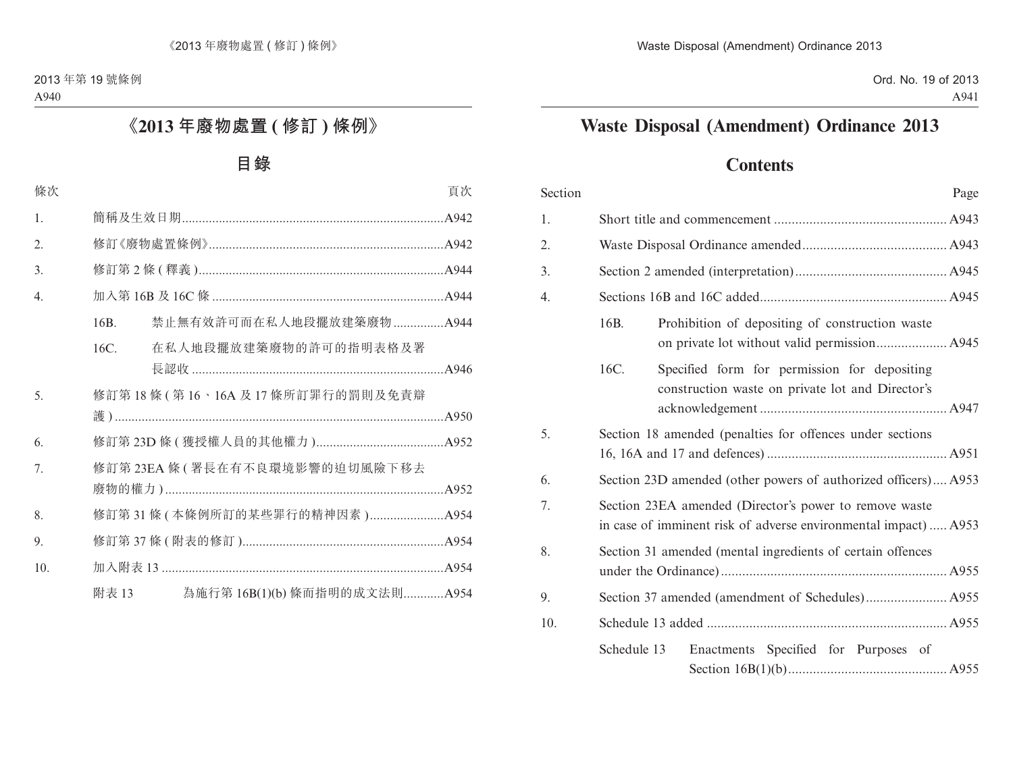# **Waste Disposal (Amendment) Ordinance 2013**

## **Contents**

| Section | Page                                                                                                                      |  |  |
|---------|---------------------------------------------------------------------------------------------------------------------------|--|--|
| 1.      |                                                                                                                           |  |  |
| 2.      |                                                                                                                           |  |  |
| 3.      |                                                                                                                           |  |  |
| 4.      |                                                                                                                           |  |  |
|         | 16B.<br>Prohibition of depositing of construction waste                                                                   |  |  |
|         | 16C.<br>Specified form for permission for depositing<br>construction waste on private lot and Director's                  |  |  |
| 5.      | Section 18 amended (penalties for offences under sections                                                                 |  |  |
| 6.      | Section 23D amended (other powers of authorized officers) A953                                                            |  |  |
| 7.      | Section 23EA amended (Director's power to remove waste<br>in case of imminent risk of adverse environmental impact)  A953 |  |  |
| 8.      | Section 31 amended (mental ingredients of certain offences                                                                |  |  |
| 9.      |                                                                                                                           |  |  |
| 10.     |                                                                                                                           |  |  |
|         | Schedule 13<br>Enactments Specified for Purposes of                                                                       |  |  |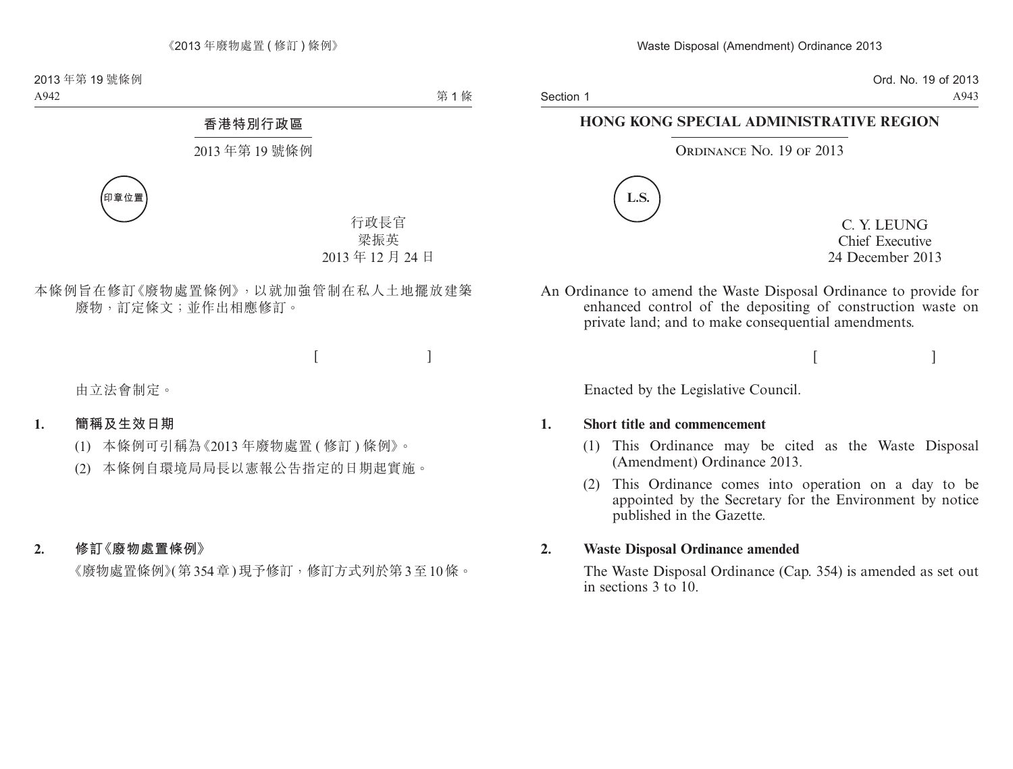Section 1

Ord. No. 19 of 2013 A943

### **HONG KONG SPECIAL ADMINISTRATIVE REGION**

#### ORDINANCE NO. 19 OF 2013



C. Y. LEUNG Chief Executive 24 December 2013

An Ordinance to amend the Waste Disposal Ordinance to provide for enhanced control of the depositing of construction waste on private land; and to make consequential amendments.

 $[$   $]$ 

Enacted by the Legislative Council.

#### **1. Short title and commencement**

- (1) This Ordinance may be cited as the Waste Disposal (Amendment) Ordinance 2013.
- (2) This Ordinance comes into operation on a day to be appointed by the Secretary for the Environment by notice published in the Gazette.

#### **2. Waste Disposal Ordinance amended**

The Waste Disposal Ordinance (Cap. 354) is amended as set out in sections 3 to 10.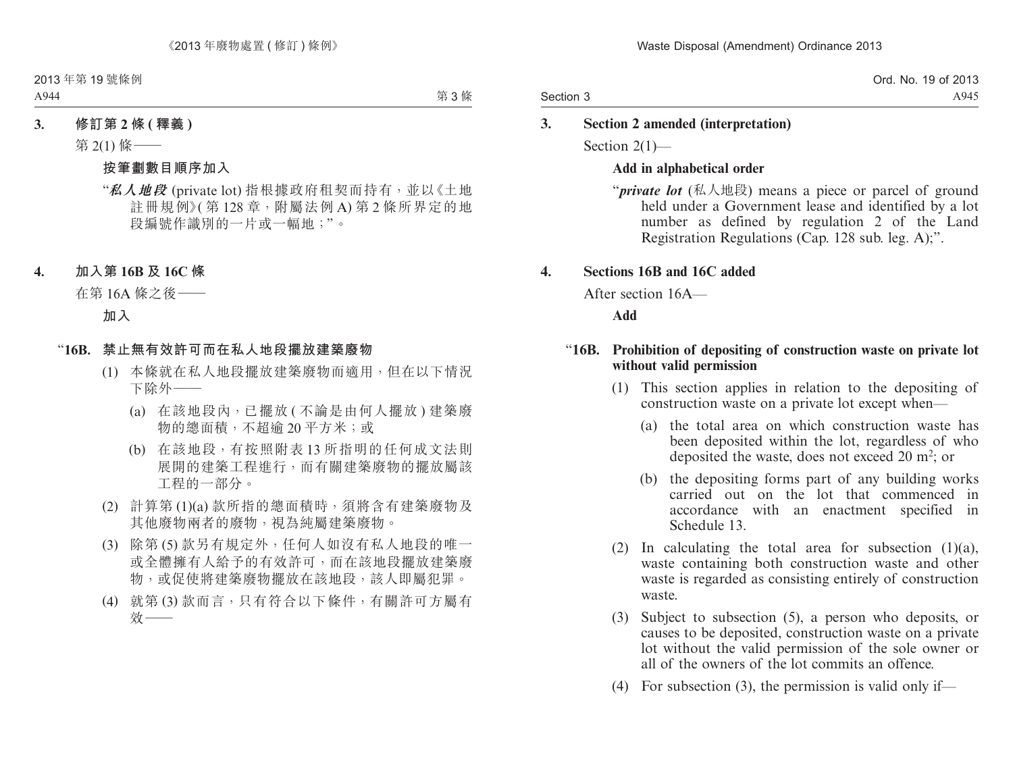### **3. Section 2 amended (interpretation)**

Section 2(1)—

#### **Add in alphabetical order**

"*private lot* (私人地段) means a piece or parcel of ground held under a Government lease and identified by a lot number as defined by regulation 2 of the Land Registration Regulations (Cap. 128 sub. leg. A);".

### **4. Sections 16B and 16C added**

After section 16A—

**Add**

#### "**16B. Prohibition of depositing of construction waste on private lot without valid permission**

- (1) This section applies in relation to the depositing of construction waste on a private lot except when—
	- (a) the total area on which construction waste has been deposited within the lot, regardless of who deposited the waste, does not exceed  $20 \text{ m}^2$ ; or
	- (b) the depositing forms part of any building works carried out on the lot that commenced in accordance with an enactment specified in Schedule 13.
- (2) In calculating the total area for subsection  $(1)(a)$ , waste containing both construction waste and other waste is regarded as consisting entirely of construction waste.
- (3) Subject to subsection (5), a person who deposits, or causes to be deposited, construction waste on a private lot without the valid permission of the sole owner or all of the owners of the lot commits an offence.
- (4) For subsection (3), the permission is valid only if—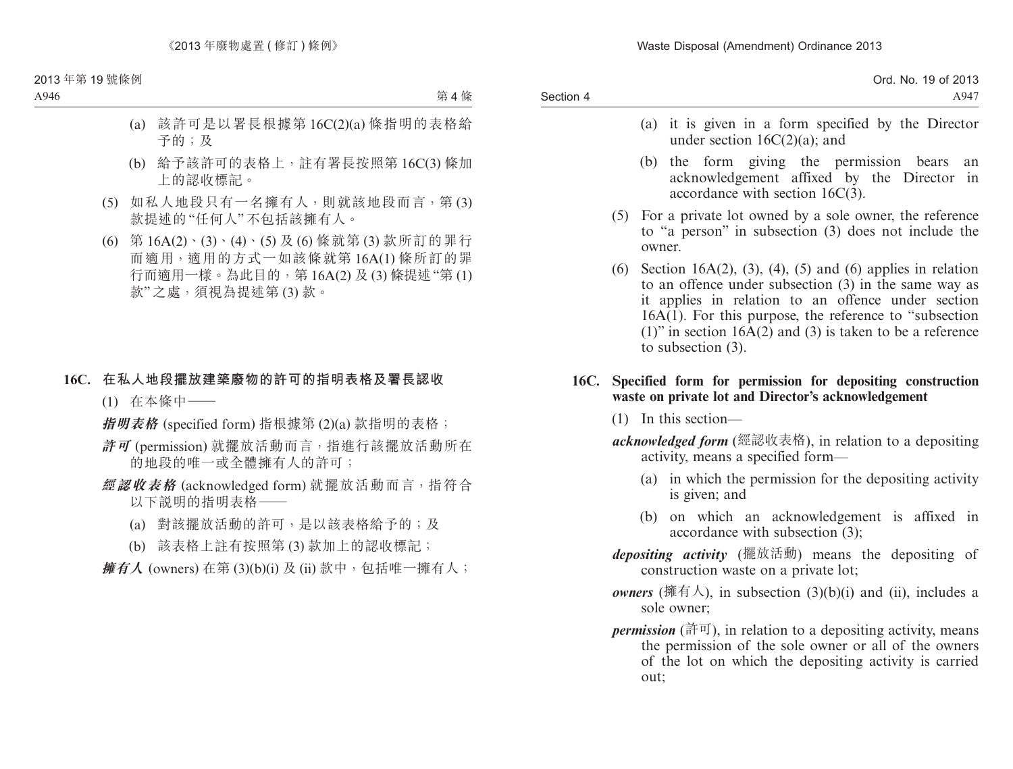Waste Disposal (Amendment) Ordinance 2013

Section 4 Ord. No. 19 of 2013 A947

- (a) it is given in a form specified by the Director under section 16C(2)(a); and
- (b) the form giving the permission bears an acknowledgement affixed by the Director in accordance with section 16C(3).
- (5) For a private lot owned by a sole owner, the reference to "a person" in subsection (3) does not include the owner.
- (6) Section 16A(2), (3), (4), (5) and (6) applies in relation to an offence under subsection (3) in the same way as it applies in relation to an offence under section  $16A(1)$ . For this purpose, the reference to "subsection" (1)" in section  $16A(2)$  and (3) is taken to be a reference to subsection (3).

#### **16C. Specified form for permission for depositing construction waste on private lot and Director's acknowledgement**

- (1) In this section—
- *acknowledged form* (經認收表格), in relation to a depositing activity, means a specified form—
	- (a) in which the permission for the depositing activity is given; and
	- (b) on which an acknowledgement is affixed in accordance with subsection (3);
- *depositing activity* (擺放活動) means the depositing of construction waste on a private lot;
- *owners* (擁有人), in subsection  $(3)(b)(i)$  and  $(ii)$ , includes a sole owner;
- *permission* (許可), in relation to a depositing activity, means the permission of the sole owner or all of the owners of the lot on which the depositing activity is carried out;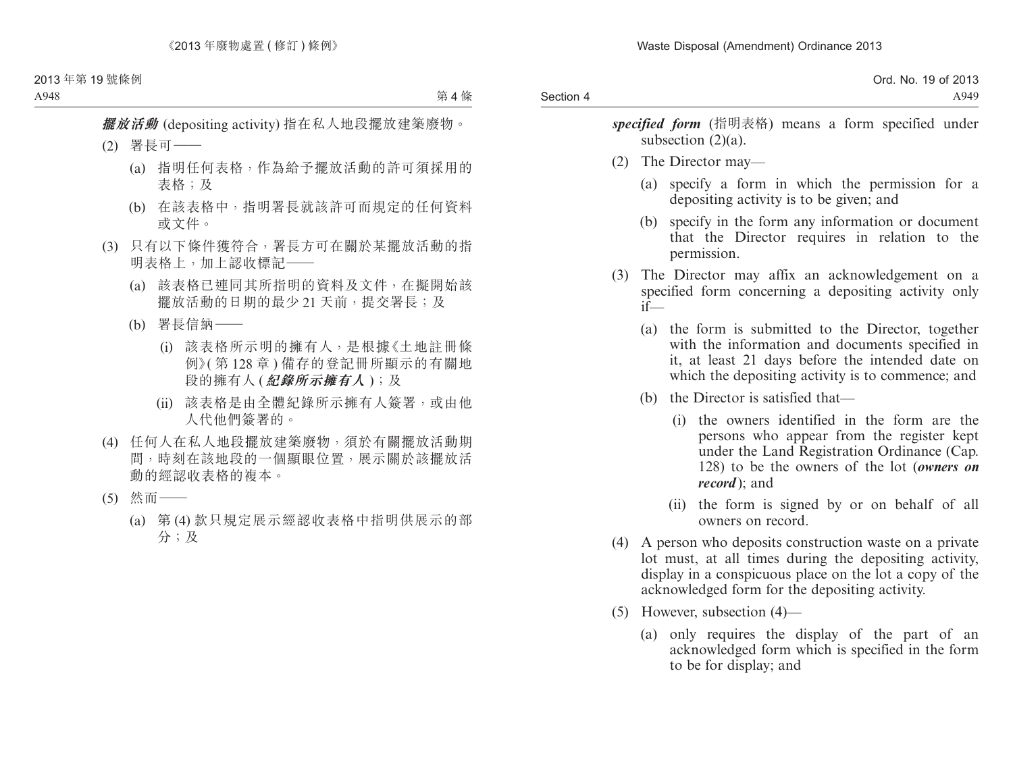*specified form* (指明表格) means a form specified under subsection  $(2)(a)$ .

- (2) The Director may—
	- (a) specify a form in which the permission for a depositing activity is to be given; and
	- (b) specify in the form any information or document that the Director requires in relation to the permission.
- (3) The Director may affix an acknowledgement on a specified form concerning a depositing activity only if—
	- (a) the form is submitted to the Director, together with the information and documents specified in it, at least 21 days before the intended date on which the depositing activity is to commence; and
	- (b) the Director is satisfied that—
		- (i) the owners identified in the form are the persons who appear from the register kept under the Land Registration Ordinance (Cap. 128) to be the owners of the lot (*owners on record* ); and
		- (ii) the form is signed by or on behalf of all owners on record.
- (4) A person who deposits construction waste on a private lot must, at all times during the depositing activity, display in a conspicuous place on the lot a copy of the acknowledged form for the depositing activity.
- (5) However, subsection (4)—
	- (a) only requires the display of the part of an acknowledged form which is specified in the form to be for display; and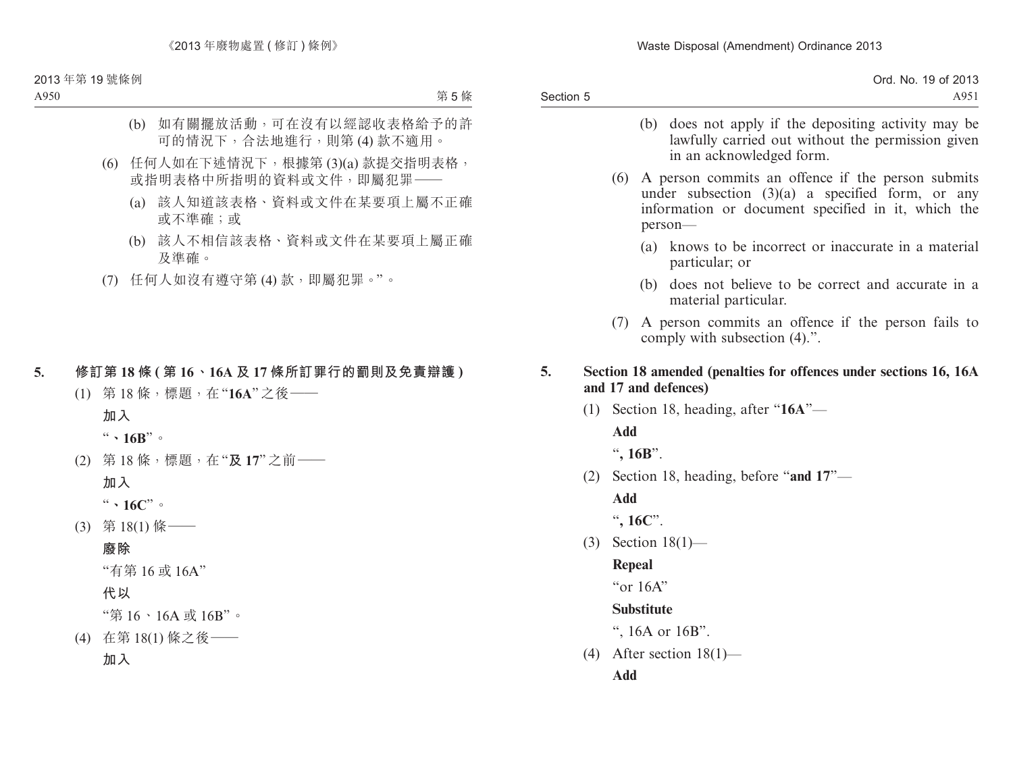Waste Disposal (Amendment) Ordinance 2013

Section 5 Ord. No. 19 of 2013 A951

- (b) does not apply if the depositing activity may be lawfully carried out without the permission given in an acknowledged form.
- (6) A person commits an offence if the person submits under subsection  $(3)(a)$  a specified form, or any information or document specified in it, which the person—
	- (a) knows to be incorrect or inaccurate in a material particular; or
	- (b) does not believe to be correct and accurate in a material particular.
- (7) A person commits an offence if the person fails to comply with subsection (4).".
- **5. Section 18 amended (penalties for offences under sections 16, 16A and 17 and defences)**
	- (1) Section 18, heading, after "**16A**"—

**Add**

"**, 16B**".

(2) Section 18, heading, before "**and 17**"—

**Add**

"**, 16C**".

(3) Section 18(1)—

### **Repeal**

"or 16A"

### **Substitute**

", 16A or 16B".

(4) After section  $18(1)$ —

**Add**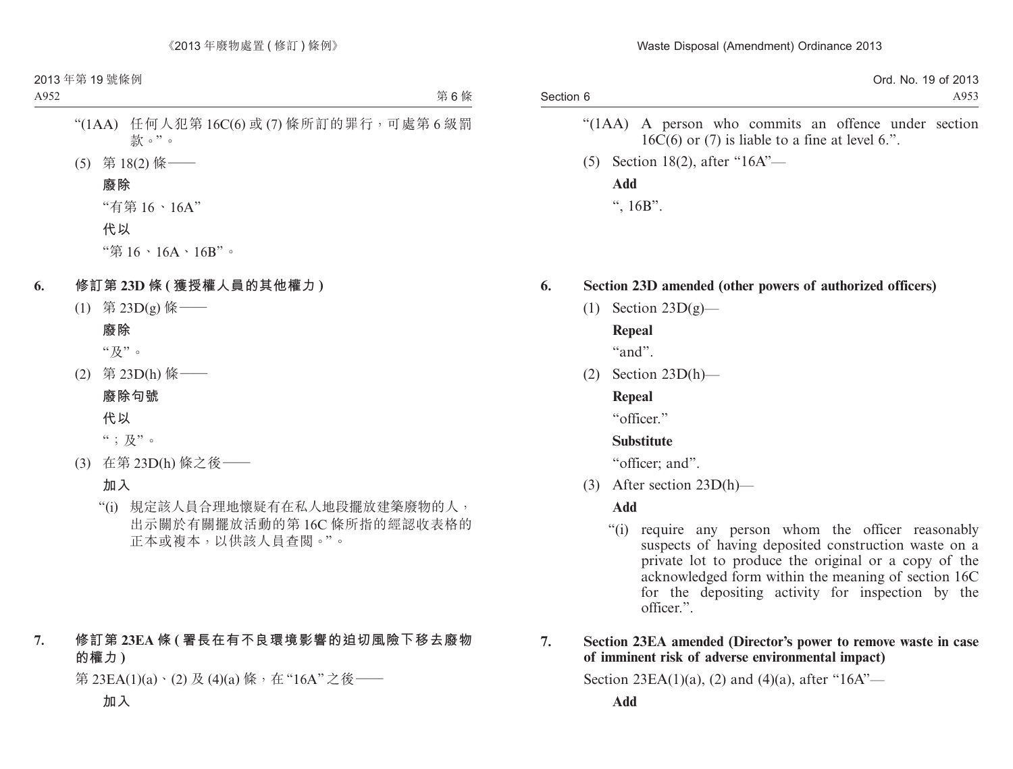|           | .001c<br><b>N<sub>IO</sub></b><br>Ord<br>$(1 \wedge$<br>2013<br>ww.<br>ີ |
|-----------|--------------------------------------------------------------------------|
| Section 6 | $\triangle$ Q52<br>▱<br>11777                                            |
|           |                                                                          |

- "(1AA) A person who commits an offence under section  $16\dot{C}(6)$  or (7) is liable to a fine at level 6.".
- (5) Section 18(2), after "16A"— **Add** ",  $16B$ ".

### **6. Section 23D amended (other powers of authorized officers)**

(1) Section  $23D(g)$ —

### **Repeal**

"and".

(2) Section 23D(h)—

### **Repeal**

"officer"

### **Substitute**

"officer; and".

(3) After section 23D(h)—

**Add**

"(i) require any person whom the officer reasonably suspects of having deposited construction waste on a private lot to produce the original or a copy of the acknowledged form within the meaning of section 16C for the depositing activity for inspection by the officer.".

### **7. Section 23EA amended (Director's power to remove waste in case of imminent risk of adverse environmental impact)**

Section 23EA(1)(a), (2) and (4)(a), after "16A"—